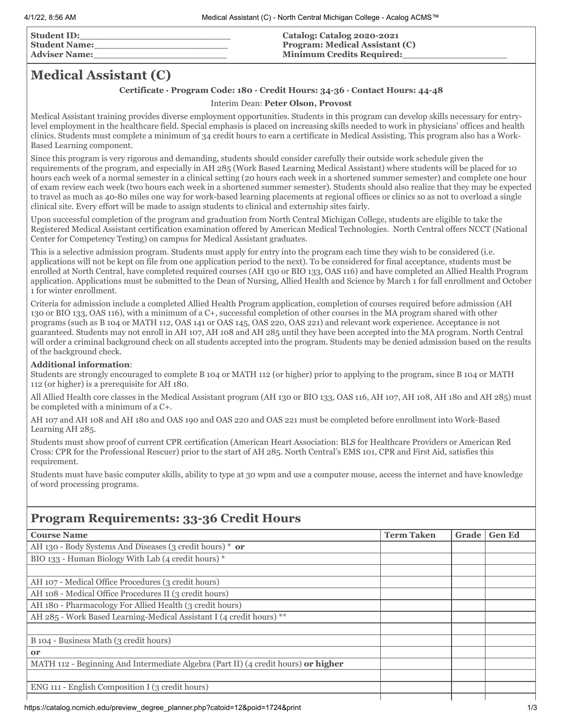# **Medical Assistant (C)**

#### **Certificate · Program Code: 180 · Credit Hours: 34-36 · Contact Hours: 44-48**

#### Interim Dean: **Peter Olson, Provost**

Medical Assistant training provides diverse employment opportunities. Students in this program can develop skills necessary for entrylevel employment in the healthcare field. Special emphasis is placed on increasing skills needed to work in physicians' offices and health clinics. Students must complete a minimum of 34 credit hours to earn a certificate in Medical Assisting. This program also has a Work-Based Learning component.

Since this program is very rigorous and demanding, students should consider carefully their outside work schedule given the requirements of the program, and especially in AH 285 (Work Based Learning Medical Assistant) where students will be placed for 10 hours each week of a normal semester in a clinical setting (20 hours each week in a shortened summer semester) and complete one hour of exam review each week (two hours each week in a shortened summer semester). Students should also realize that they may be expected to travel as much as 40-80 miles one way for work-based learning placements at regional offices or clinics so as not to overload a single clinical site. Every effort will be made to assign students to clinical and externship sites fairly.

Upon successful completion of the program and graduation from North Central Michigan College, students are eligible to take the Registered Medical Assistant certification examination offered by American Medical Technologies. North Central offers NCCT (National Center for Competency Testing) on campus for Medical Assistant graduates.

This is a selective admission program. Students must apply for entry into the program each time they wish to be considered (i.e. applications will not be kept on file from one application period to the next). To be considered for final acceptance, students must be enrolled at North Central, have completed required courses (AH 130 or BIO 133, OAS 116) and have completed an Allied Health Program application. Applications must be submitted to the Dean of Nursing, Allied Health and Science by March 1 for fall enrollment and October 1 for winter enrollment.

Criteria for admission include a completed Allied Health Program application, completion of courses required before admission (AH 130 or BIO 133, OAS 116), with a minimum of a C+, successful completion of other courses in the MA program shared with other programs (such as B 104 or MATH 112, OAS 141 or OAS 145, OAS 220, OAS 221) and relevant work experience. Acceptance is not guaranteed. Students may not enroll in AH 107, AH 108 and AH 285 until they have been accepted into the MA program. North Central will order a criminal background check on all students accepted into the program. Students may be denied admission based on the results of the background check.

#### **Additional information**:

Students are strongly encouraged to complete B 104 or MATH 112 (or higher) prior to applying to the program, since B 104 or MATH 112 (or higher) is a prerequisite for AH 180.

All Allied Health core classes in the Medical Assistant program (AH 130 or BIO 133, OAS 116, AH 107, AH 108, AH 180 and AH 285) must be completed with a minimum of a C+.

AH 107 and AH 108 and AH 180 and OAS 190 and OAS 220 and OAS 221 must be completed before enrollment into Work-Based Learning AH 285.

Students must show proof of current CPR certification (American Heart Association: BLS for Healthcare Providers or American Red Cross: CPR for the Professional Rescuer) prior to the start of AH 285. North Central's EMS 101, CPR and First Aid, satisfies this requirement.

Students must have basic computer skills, ability to type at 30 wpm and use a computer mouse, access the internet and have knowledge of word processing programs.

## **Program Requirements: 33-36 Credit Hours**

| <b>Course Name</b>                                                                 | <b>Term Taken</b> | Grade | <b>Gen Ed</b> |
|------------------------------------------------------------------------------------|-------------------|-------|---------------|
| AH 130 - Body Systems And Diseases (3 credit hours) * or                           |                   |       |               |
| BIO 133 - Human Biology With Lab (4 credit hours) *                                |                   |       |               |
|                                                                                    |                   |       |               |
| AH 107 - Medical Office Procedures (3 credit hours)                                |                   |       |               |
| AH 108 - Medical Office Procedures II (3 credit hours)                             |                   |       |               |
| AH 180 - Pharmacology For Allied Health (3 credit hours)                           |                   |       |               |
| AH 285 - Work Based Learning-Medical Assistant I (4 credit hours) **               |                   |       |               |
|                                                                                    |                   |       |               |
| B 104 - Business Math (3 credit hours)                                             |                   |       |               |
| <b>or</b>                                                                          |                   |       |               |
| MATH 112 - Beginning And Intermediate Algebra (Part II) (4 credit hours) or higher |                   |       |               |
|                                                                                    |                   |       |               |
| ENG 111 - English Composition I (3 credit hours)                                   |                   |       |               |
|                                                                                    |                   |       |               |